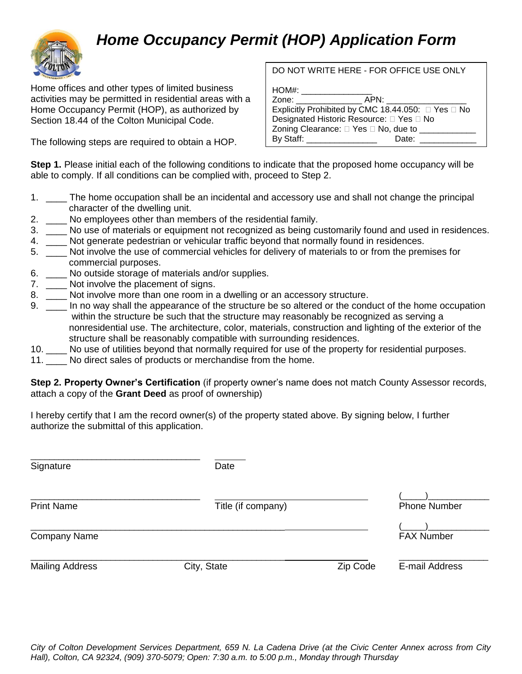## *Home Occupancy Permit (HOP) Application Form*



Home offices and other types of limited business activities may be permitted in residential areas with a Home Occupancy Permit (HOP), as authorized by Section 18.44 of the Colton Municipal Code.

The following steps are required to obtain a HOP.

## DO NOT WRITE HERE - FOR OFFICE USE ONLY

 $HOMH$ 

| Zone: will be a series of the series of the series of the series of the series of the series of the series of the series of the series of the series of the series of the series of the series of the series of the series of | APN:                                               |
|-------------------------------------------------------------------------------------------------------------------------------------------------------------------------------------------------------------------------------|----------------------------------------------------|
|                                                                                                                                                                                                                               | Explicitly Prohibited by CMC 18.44.050: □ Yes □ No |
| Designated Historic Resource: □ Yes □ No                                                                                                                                                                                      |                                                    |
| Zoning Clearance: □ Yes □ No, due to ____                                                                                                                                                                                     |                                                    |
| By Staff: The Contract of the Contract of the Contract of the Contract of the Contract of the Contract of the Contract of the Contract of the Contract of the Contract of the Contract of the Contract of the Contract of the | Date:                                              |
|                                                                                                                                                                                                                               |                                                    |

**Step 1.** Please initial each of the following conditions to indicate that the proposed home occupancy will be able to comply. If all conditions can be complied with, proceed to Step 2.

- 1. \_\_\_\_ The home occupation shall be an incidental and accessory use and shall not change the principal character of the dwelling unit.
- 2. \_\_\_\_ No employees other than members of the residential family.
- 3. \_\_\_\_ No use of materials or equipment not recognized as being customarily found and used in residences.
- 4. \_\_\_\_ Not generate pedestrian or vehicular traffic beyond that normally found in residences.
- 5. \_\_\_\_ Not involve the use of commercial vehicles for delivery of materials to or from the premises for commercial purposes.
- 6. No outside storage of materials and/or supplies.
- 7. Not involve the placement of signs.
- 8. \_\_\_\_ Not involve more than one room in a dwelling or an accessory structure.
- 9. \_\_\_\_ In no way shall the appearance of the structure be so altered or the conduct of the home occupation within the structure be such that the structure may reasonably be recognized as serving a nonresidential use. The architecture, color, materials, construction and lighting of the exterior of the structure shall be reasonably compatible with surrounding residences.
- 10. \_\_\_\_ No use of utilities beyond that normally required for use of the property for residential purposes.
- 11. No direct sales of products or merchandise from the home.

**Step 2. Property Owner's Certification** (if property owner's name does not match County Assessor records, attach a copy of the **Grant Deed** as proof of ownership)

I hereby certify that I am the record owner(s) of the property stated above. By signing below, I further authorize the submittal of this application.

| Signature              | Date               |          |                   |  |
|------------------------|--------------------|----------|-------------------|--|
| <b>Print Name</b>      | Title (if company) |          |                   |  |
| <b>Company Name</b>    |                    |          | <b>FAX Number</b> |  |
| <b>Mailing Address</b> | City, State        | Zip Code | E-mail Address    |  |